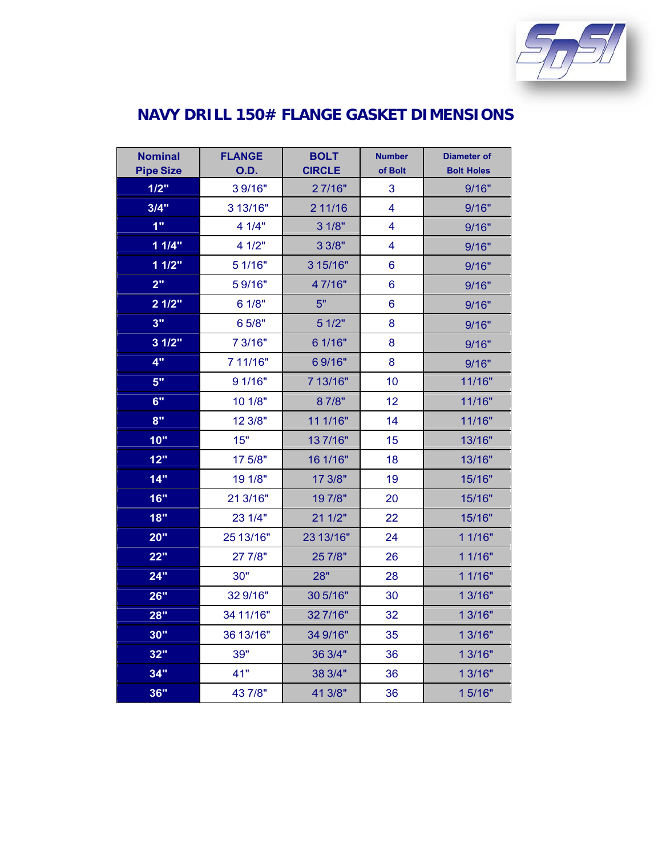

## **NAVY DRILL 150# FLANGE GASKET DIMENSIONS**

| <b>Nominal</b><br><b>Pipe Size</b> | <b>FLANGE</b><br>O.D. | <b>BOLT</b><br><b>CIRCLE</b> | <b>Number</b><br>of Bolt | <b>Diameter of</b><br><b>Bolt Holes</b> |
|------------------------------------|-----------------------|------------------------------|--------------------------|-----------------------------------------|
| 1/2"                               | 39/16"                | 27/16"                       | 3                        | 9/16"                                   |
| 3/4"                               | 3 13/16"              | 2 11/16                      | $\overline{\mathbf{4}}$  | 9/16"                                   |
| 1"                                 | 4 1/4"                | 3 1/8"                       | 4                        | 9/16"                                   |
| 11/4"                              | 4 1/2"                | 3 3/8"                       | $\overline{\mathbf{4}}$  | 9/16"                                   |
| 11/2"                              | 5 1/16"               | 3 15/16"                     | 6                        | 9/16"                                   |
| 2 <sup>0</sup>                     | 59/16"                | 47/16"                       | 6                        | 9/16"                                   |
| 21/2"                              | 6 1/8"                | 5"                           | 6                        | 9/16"                                   |
| 3"                                 | 6 5/8"                | 5 1/2"                       | 8                        | 9/16"                                   |
| 31/2"                              | 7 3/16"               | 6 1/16"                      | 8                        | 9/16"                                   |
| 4"                                 | 7 11/16"              | 69/16"                       | 8                        | 9/16"                                   |
| 5"                                 | 9 1/16"               | 7 13/16"                     | 10                       | 11/16"                                  |
| 6"                                 | 10 1/8"               | 87/8"                        | 12                       | 11/16"                                  |
| 8"                                 | 12 3/8"               | 11 1/16"                     | 14                       | 11/16"                                  |
| 10"                                | 15"                   | 137/16"                      | 15                       | 13/16"                                  |
| 12"                                | 17 5/8"               | 16 1/16"                     | 18                       | 13/16"                                  |
| 14"                                | 19 1/8"               | 17 3/8"                      | 19                       | 15/16"                                  |
| 16"                                | 21 3/16"              | 197/8"                       | 20                       | 15/16"                                  |
| 18"                                | 23 1/4"               | 211/2"                       | 22                       | 15/16"                                  |
| 20"                                | 25 13/16"             | 23 13/16"                    | 24                       | 1 1/16"                                 |
| 22"                                | 27 7/8"               | 25 7/8"                      | 26                       | 1 1/16"                                 |
| 24"                                | 30"                   | 28"                          | 28                       | 1 1/16"                                 |
| 26"                                | 32 9/16"              | 30 5/16"                     | 30                       | 1 3/16"                                 |
| 28"                                | 34 11/16"             | 327/16"                      | 32                       | 1 3/16"                                 |
| 30"                                | 36 13/16"             | 34 9/16"                     | 35                       | 1 3/16"                                 |
| 32"                                | 39"                   | 36 3/4"                      | 36                       | 1 3/16"                                 |
| 34"                                | 41"                   | 38 3/4"                      | 36                       | 1 3/16"                                 |
| 36"                                | 43 7/8"               | 41 3/8"                      | 36                       | 15/16"                                  |